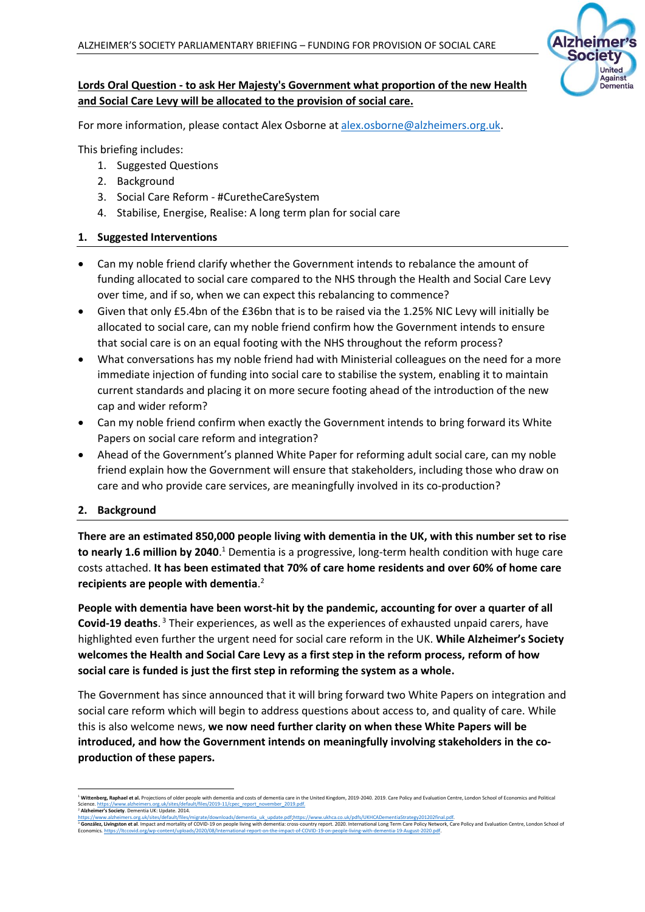

# **Lords Oral Question - to ask Her Majesty's Government what proportion of the new Health and Social Care Levy will be allocated to the provision of social care.**

For more information, please contact Alex Osborne at [alex.osborne@alzheimers.org.uk.](mailto:alex.osborne@alzheimers.org.uk)

This briefing includes:

- 1. Suggested Questions
- 2. Background
- 3. Social Care Reform #CuretheCareSystem
- 4. Stabilise, Energise, Realise: A long term plan for social care

## **1. Suggested Interventions**

- Can my noble friend clarify whether the Government intends to rebalance the amount of funding allocated to social care compared to the NHS through the Health and Social Care Levy over time, and if so, when we can expect this rebalancing to commence?
- Given that only £5.4bn of the £36bn that is to be raised via the 1.25% NIC Levy will initially be allocated to social care, can my noble friend confirm how the Government intends to ensure that social care is on an equal footing with the NHS throughout the reform process?
- What conversations has my noble friend had with Ministerial colleagues on the need for a more immediate injection of funding into social care to stabilise the system, enabling it to maintain current standards and placing it on more secure footing ahead of the introduction of the new cap and wider reform?
- Can my noble friend confirm when exactly the Government intends to bring forward its White Papers on social care reform and integration?
- Ahead of the Government's planned White Paper for reforming adult social care, can my noble friend explain how the Government will ensure that stakeholders, including those who draw on care and who provide care services, are meaningfully involved in its co-production?

## **2. Background**

**There are an estimated 850,000 people living with dementia in the UK, with this number set to rise**  to nearly 1.6 million by 2040.<sup>1</sup> Dementia is a progressive, long-term health condition with huge care costs attached. **It has been estimated that 70% of care home residents and over 60% of home care recipients are people with dementia**. 2

**People with dementia have been worst-hit by the pandemic, accounting for over a quarter of all Covid-19 deaths**. <sup>3</sup> Their experiences, as well as the experiences of exhausted unpaid carers, have highlighted even further the urgent need for social care reform in the UK. **While Alzheimer's Society welcomes the Health and Social Care Levy as a first step in the reform process, reform of how social care is funded is just the first step in reforming the system as a whole.**

The Government has since announced that it will bring forward two White Papers on integration and social care reform which will begin to address questions about access to, and quality of care. While this is also welcome news, **we now need further clarity on when these White Papers will be introduced, and how the Government intends on meaningfully involving stakeholders in the coproduction of these papers.**

<sup>&</sup>lt;sup>1</sup> **Wittenberg, Raphael et al.** Projections of older people with dementia and costs of dementia care in the United Kingdom, 2019-2040. 2019. Care Policy and Evaluation Centre, London School of Economics and Political<br>Scie Scienc[e. https://www.alzheimers.org.uk/sites/default/files/2019-11/cpec\\_report\\_november\\_2019.pdf.](https://www.alzheimers.org.uk/sites/default/files/2019-11/cpec_report_november_2019.pdf) <sup>2</sup> **Alzheimer's Society**. Dementia UK: Update. 2014.

[https://www.alzheimers.org.uk/sites/default/files/migrate/downloads/dementia\\_uk\\_update.pdf;](https://www.alzheimers.org.uk/sites/default/files/migrate/downloads/dementia_uk_update.pdf)[https://www.ukhca.co.uk/pdfs/UKHCADementiaStrategy201202final.pdf.](https://www.ukhca.co.uk/pdfs/UKHCADementiaStrategy201202final.pdf)<br><sup>3</sup> **González, Livingston et al**. Impact and mortality of COVID-Economics[. https://ltccovid.org/wp-content/uploads/2020/08/International-report-on-the-impact-of-COVID-19-on-people-living-with-dementia-19-August-2020.pdf.](https://ltccovid.org/wp-content/uploads/2020/08/International-report-on-the-impact-of-COVID-19-on-people-living-with-dementia-19-August-2020.pdf)